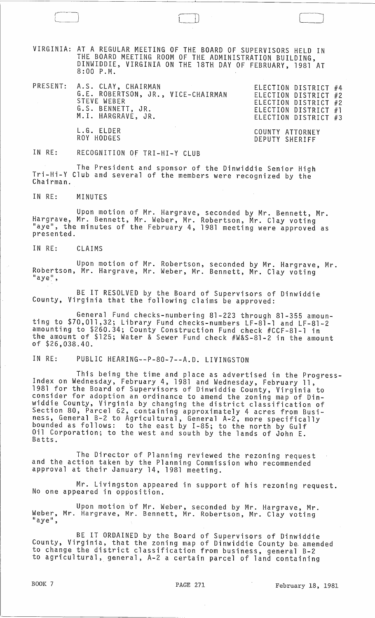VIRGINIA: AT A REGULAR MEETING OF THE BOARD OF SUPERVISORS HELD IN THE BOARD MEETING ROOM OF THE ADMINISTRATION BUILDING, DINWIDDIE, VIRGINIA ON THE 18TH DAY OF FEBRUARY, 1981 AT 8:00 P.M.

PRESENT: A.S. CLAY, CHAIRMAN ELECTION DISTRICT #4 G.E. ROBERTSON, JR., VICE-CHAIRMAN STEVE WEBER G.S. BENNETT, JR. M.I. HARGRAVE, JR.

 $\Box$ 

ELECTION DISTRICT #2 ELECTION DISTRICT #2 ELECTION DISTRICT #1 ELECTION DISTRICT #3

COUNTY ATTORNEY DEPUTY SHERIFF

IN RE: RECOGNITION OF TRI-HI-Y CLUB

L. G. ELDER ROY HODGES

The President and sponsor of the Dinwiddie Senior High Tri-Hi-Y Club and several of the members were recognized by the Chairman.

IN RE: MINUTES

 $\cdot$  . ) is the set of  $\cdot$ 

Upon motion of Mr. Hargrave, seconded by Mr. Bennett, Mr. Hargrave, Mr. Bennett, Mr. Weber, Mr. Robertson, Mr. Clay voting "aye", the minutes of the February 4, 1981 meeting were approved as presented.

IN RE: CLAIMS

Upon motion of Mr. Robertson, seconded by Mr. Hargrave, Mr. Robertson, Mr. Hargrave, Mr. Weber, Mr. Bennett, Mr. Clay voting  $^{\text{II}}$ aye $^{\text{II}}$ ,

BE IT RESOLVED by the Board of Supervisors of Dinwiddie County, Virginia that the following claims be approved:

General Fund checks-numbering 81-223 through 81-355 amounting to \$70,011,32; Library Fund checks-numbers LF-81-l and LF-81-2 amounting to \$260.34; County Construction Fund check #CCF-81-1 in the amount of \$125; Water & Sewer Fund check #W&S-81-2 in the amount of \$26,038.40.

IN RE: PUBLIC HEARING--P-80-7--A.D. LIVINGSTON

This being the time and place as advertised in the Progress- Index on Wednesday, February 4, 1981 and Wednesday, February 11, 1981 for the Board of Supervisors of Dinwiddie County, Virginia to consider for adoption an ordinance to amend the zoning map of Dinwiddie County, Virginia by changing the district classification of Section 80, Parcel 62, containing approximately 4 acres from Business, General B-2 to Agricultural, General A-2, more specifically bounded as follows: to the east by 1-85; to the north by Gulf Oil Corporation; to the west and south by the lands of John E. Batts.

The Director of Planning reviewed the rezoning request and the action taken by the Planning Commission who recommended approval at their January 14, 1981 meeting.

Mr. Livingston appeared in support of his rezoning request. No one appeared in opposition.

Upon motion of Mr. Weber, seconded by Mr. Hargrave, Mr. Weber, Mr. Hargrave, Mr. Bennett, Mr. Robertson, Mr. Clay voting<br>"aye",

BE IT ORDAINED by the Board of Supervisors of Dinwiddie County, Virginia, that the zoning map of Dinwiddie County be. amended to change the district classification from business, general B-2 to agricul tural, general, A-2 a certain parcel of land containing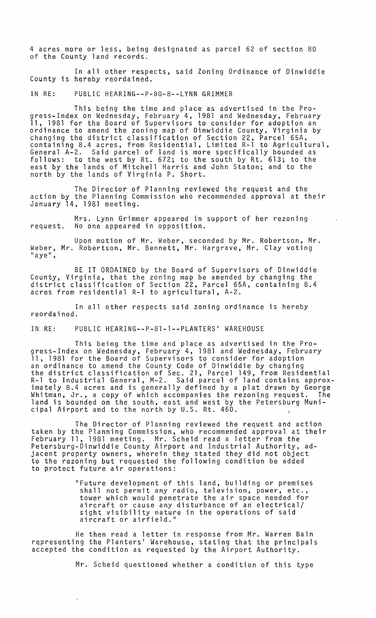4 acres more or less, being designated as parcel 62 of section 80 of the County land records.

In all other respects, said Zoning Ordinance of Dinwiddie County is hereby reordained.

IN RE: PUBLIC HEARING--P-80-8--LYNN GRIMMER

This being the time and place as advertised in the Progress-Index on Wednesday, February 4, 1981 and Wednesday, February 11, 1981 for the Board of Supervisors to consider for adoption an ordinance to amend the zoning map of Dinwiddie County, Virginia by changing the district classification of Section 22, Parcel 65A, containing 8.4 acres, from Residential, Limited R-l to Agricultural, General A-2. Said parcel of land is more specifically bounded as follows: to the west by Rt. 672; to the south by Rt. 613; to the east by the lands of Mitchell Harris and John Staton; and to the north by the lands of Virginia P. Short.

The Director of Planning reviewed the request and the action by the Planning Commission who recommended approval at their January 14, 1981 meeting.

Mrs. Lynn Grimmer appeared in support of her rezoning request. No one appeared in opposition.

Upon motion of Mr. Weber, seconded by Mr. Robertson, Mr. Weber, Mr. Robertson, Mr. Bennett, Mr. Hargrave, Mr. Clay voting<br>"aye",

BE IT ORDAINED by the Board of Supervisors of Dinwiddie County, Virginia, that the zoning map be amended by changing the district classification of Section 22, Parcel 65A, containing 8.4 acres from residential R-l to agricultural, A-2.

In all other respects said zoning ordinance is hereby reordained.

IN RE: PUBLIC HEARING--P-8l-l--PLANTERS· WAREHOUSE

This being the time and place as advertised in the Progress-Index on Wednesday, February 4, 1981 and Wednesday, February 11, 1981 for the Board of Supervisors to consider for adoption an ordinance to amend the County Code of Dinwiddie by changing the district classification of Sec. 21, Parcel 149, from Residential R-l to Industrial General, M-2. Said parcel of land contains approximately 8.4 acres and is generally defined by a plat drawn by George Whitman, Jr., a copy of which accompanies the rezoning request. The land is bounded on the south, east and west by the Petersburg Municipal Airport and to the north by U.S. Rt. 460.

The Director of Planning reviewed the request and action taken by the Planning Commission, who recommended approval at their February 11, 1981 meeting. Mr. Scheid read a letter from the Petersburg-Dinwiddie County Airport and Industrial Authority, adjacent property owners, wherein they stated they did not object to the rezoning but requested the following condition be added to protect future air operations:

> "Future development of this land, building or premises shall not permit any radio, television, power, etc., tower which would penetrate the air space needed for aircraft or cause any disturbance of an electrical/ sight visibility nature in the operations of said aircraft or airfield."

He then read a letter in response from Mr. Warren Bain representing the Planters· Warehouse, stating that the principals accepted the condition as requested by the Airport Authority.

Mr. Scheid questioned whether a condition of this type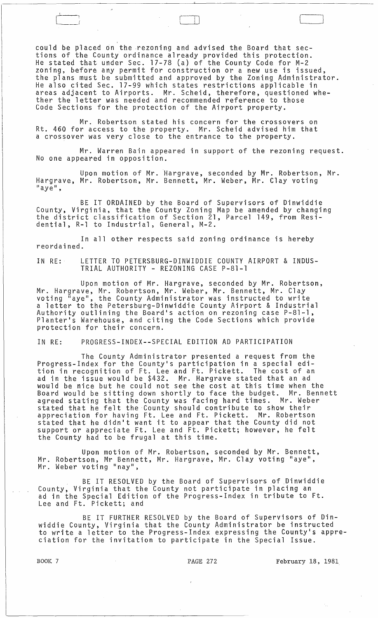could be placed on the rezoning and advised the Board that sections of the County ordinance already provided this protection. He stated that under Sec. 17-78 (a) of the County Code for M-2 zoning, before any permit for construction or a new use is issued, the plans must be submitted and approved by the Zoning Administrator. He also cited Sec. 17-99 which states restrictions applicable in areas adjacent to Airports. Mr. Scheid, therefore, questioned whether the letter was needed and recommended reference to those Code Sections for the protection of the Airport property.

 $\begin{pmatrix} 1 & 1 & 1 \\ 1 & 1 & 1 \\ 1 & 1 & 1 \end{pmatrix}$ 

Mr. Robertson stated his concern for the crossovers on Rt. 460 for access to the property. Mr. Scheid advised him that a crossover was very close to the entrance to the property.

Mr. Warren Bain appeared in support of the rezoning request. No one appeared in opposition.

Upon motion of Mr. Hargrave, seconded by Mr. Robertson, Mr. Hargrave, Mr. Robertson, Mr. Bennett, Mr. Weber, Mr. Clay voting<br>"aye",

BE IT ORDAINED by the Board of Supervisors of Dinwiddie County, Virginia, that the County Zoning Map be amended by changing the district classification of Section 21, Parcel 149, from Residential, R-l to Industrial, General, M-2.

In all other respects said zoning ordinance is hereby reordained.

IN RE: LETTER TO PETERSBURG-DINWIDDIE COUNTY AIRPORT & INDUS-TRIAL AUTHORITY - REZONING CASE P-81-1

Upon motion of Mr. Hargrave, seconded by Mr. Robertson, Mr. Hargrave, Mr. Robertson, Mr. Weber, Mr. Bennett, Mr. Clay voting "aye", the County Administrator was instructed to write a letter to the Petersburg-Dinwiddie County Airport & Industrial Authority outlining the Board's action on rezoning case P-81-1, Planter's Warehouse, and citing the Code Sections which provide protection for their concern.

IN RE: PROGRESS-INDEX--SPECIAL EDITION AD PARTICIPATION

The County Administrator presented a request from the Progress-Index for the County's participation in a special edition in recognition of Ft. Lee and Ft. Pickett. The cost of an ad in the issue would be \$432. Mr. Hargrave stated that an ad would be nice but he could not see the cost at this time when the Board would be sitting down shortly to face the budget. Mr. Bennett agreed stating that the County was facing hard times. Mr. Weber stated that he felt the County should contribute to show their appreciation for having Ft. Lee and Ft. Pickett. Mr. Robertson appreciation for having rt. Lee and rt. Pickett. Mr. Robertson<br>stated that he didn't want it to appear that the County did not support or appreciate Ft. Lee and Ft. Pickett; however, he felt the County had to be frugal at this time.

Upon motion of Mr. Robertson, seconded by Mr. Bennett, Mr. Robertson, Mr Bennett, Mr. Hargrave, Mr. Clay voting "aye",

BE IT RESOLVED by the Board of Supervisors of Dinwiddie County, Virginia that the County not participate in placing an ad in the Special Edition of the Progress-Index in tribute to Ft. Lee and Ft. Pickett; and

BE IT FURTHER RESOLVED by the Board of Supervisors of Dinwiddie County, Virginia that the County Administrator be instructed to write a letter to the Progress-Index expressing the County's appreciation for the invitation to participate in the Special Issue.

BOOK 7 **PAGE 272** February 18, 1981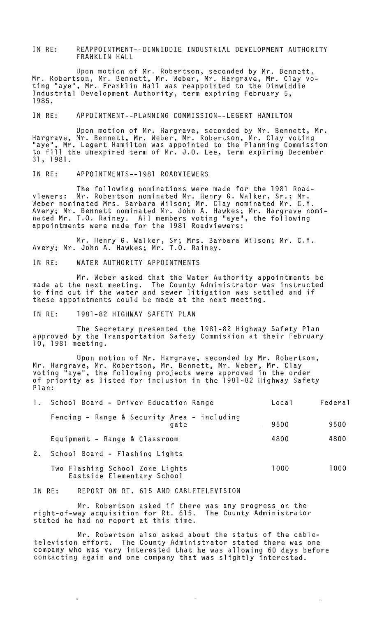IN RE: REAPPOINTMENT--DINWIDDIE INDUSTRIAL DEVELOPMENT AUTHORITY FRANKLIN HALL

Upon motion of Mr. Robertson, seconded by Mr. Bennett, Mr. Robertson, Mr. Bennett, Mr. Weber, Mr. Hargrave, Mr. Clay voting "aye", Mr. Frankl in Hall was reappointed to the Dinwiddie Industrial Development Authority, term expiring February 5, 1985.

IN RE: APPOINTMENT--PLANNING COMMISSION--LEGERT HAMILTON

Upon motion of Mr. Hargrave, seconded by Mr. Bennett, Mr. Hargrave, Mr. Bennett, Mr. Weber, Mr. Robertson, Mr. Clay voting<br>"aye", Mr. Legert Hamilton was appointed to the Planning Commission to fill the unexpired term of Mr. J.O. Lee, term expiring December 31,1981.

IN RE: APPOINTMENTS--1981 ROADVIEWERS

The following nominations were made for the 1981 Roadviewers: Mr. Robertson nominated Mr. Henry G. Walker, Sr.; Mr. Weber nominated Mrs. Barbara Wilson; Mr. Clay nominated Mr. C.Y. Avery; Mr. Bennett nominated Mr. John A. Hawkes; Mr. Hargrave nominated Mr. T.O. Rainey. All members voting "aye", the following appointments were made for the 1981 Roadviewers:

Mr. Henry G. Walker, Sr; Mrs. Barbara Wilson; Mr. C.Y.<br>Avery; Mr. John A. Hawkes; Mr. T.O. Rainey.

IN RE: WATER AUTHORITY APPOINTMENTS

Mr. Weber asked that the Water Authority appointments be made at the next meeting. The County Administrator was instructed to find out if the water and sewer litigation was settled and if these appointments could be made at the next meeting.

IN RE: 1981-82 HIGHWAY SAFETY PLAN

The Secretary presented the 1981-82 Highway Safety Plan approved by the Transportation Safety Commission at their February<br>10, 1981 meeting.

Upon motion of Mr. Hargrave, seconded by Mr. Robertson, Mr. Hargrave, Mr. Robertson, Mr. Bennett, Mr. Weber, Mr. Clay voting "aye", the following projects were approved in the order of priority as listed for inclusion in the 1981-82 Highway Safety Plan:

|    | 1. School Board - Driver Education Range                      | Local | Federal |
|----|---------------------------------------------------------------|-------|---------|
|    | Fencing - Range & Security Area - including<br>gate           | 9500  | 9500    |
|    | Equipment - Range & Classroom                                 | 4800  | 4800    |
| 2. | School Board - Flashing Lights                                |       |         |
|    | Two Flashing School Zone Lights<br>Eastside Elementary School | 1000  | 1000    |

IN RE: REPORT ON RT. 615 AND CABLETELEVISION

Mr. Robertson asked if there was any progress on the right-of-way acquisition for Rt. 615. The County Administrator stated he had no report at this time.

Mr. Robertson also asked about the status of the cabletelevision effort. The County Administrator stated there was one company who was very interested that he was allowing 60 days before contacting again and one company that was slightly interested.

 $\sim$ 

 $\langle \rho_{\rm{B}} \rangle$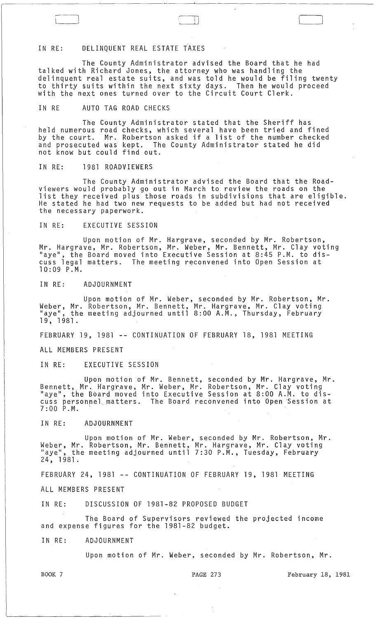IN RE: DELINQUENT REAL ESTATE TAXES

The County Administrator advised the Board that he had talked with Richard Jones, the attorney who was handling the delinquent real estate suits, and was told he would be filing twenty to thirty suits within the next sixty days. Then he would proceed with the next ones turned over to the Circuit Court Clerk.

IN RE AUTO TAG ROAD CHECKS

The County Administrator stated that the Sheriff has held numerous road checks, which several have been tried and fined by the court. Mr. Robertson asked if a list of the number checked and prosecuted was kept. The County Administrator stated he did not know but could find out.

IN RE: 1981 ROADVIEWERS

The County Administrator advised the Board that the Roadviewers would probably go out in March to review the roads on the list they received plus those roads in subdivisions that are eligible. He stated he had two new requests to be added but had not received the necessary paperwork.

IN RE: EXECUTIVE SESSION

Upon motion of Mr. Hargrave, seconded by Mr. Robertson, Mr. Hargrave, Mr. Robertson, Mr. Weber, Mr. Bennett, Mr. Clay voting "aye", the Board moved into Executive Session at 8:45 P.M. to discuss legal matters. The meeting reconvened into Open Session at 10:09 P.M.

IN RE: ADJOURNMENT

Upon motion of Mr. Weber, seconded by Mr. Robertson, Mr. Weber, Mr. Robertson, Mr. Bennett, Mr. Hargrave, Mr. Clay voting<br>"aye", the meeting adjourned until 8:00 A.M., Thursday, February 19, 1981.

FEBRUARY 19, 1981 -- CONTINUATION OF FEBRUARY 18, 1981 MEETING

ALL MEMBERS PRESENT

IN RE: EXECUTIVE SESSION

Upon motion of Mr. Bennett, seconded by Mr. Hargrave, Mr. Bennett, Mr. Hargrave, Mr. Weber, Mr. Robertson, Mr. Clay voting "aye", the Board moved into Executive Session at 8:00 A.M. to discuss personnel matters. The Board reconvened into Open Session at  $7:00$  P.M.

IN RE: ADJOURNMENT

Upon motion of Mr. Weber, seconded by Mr. Robertson, Mr. Weber, Mr. Robertson, Mr. Bennett, Mr. Hargrave, Mr. Clay voting "aye", the meeting adjourned until 7:30 P.M., Tuesday, February 24, 1981.

FEBRUARY 24, 1981 -- CONTINUATION OF FEBRUARY 19, 1981 MEETING

ALL MEMBERS PRESENT

IN RE: DISCUSSION OF 1981-82 PROPOSED BUDGET

The Board of Supervisors reviewed the projected income and expense figures for the 1981-82 budget.

## IN RE: ADJOURNMENT

Upon motion of Mr. Weber, seconded by Mr. Robertson, Mr.